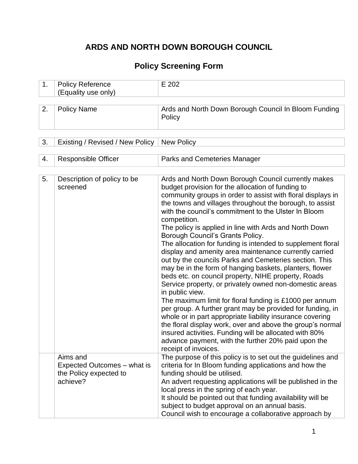# **ARDS AND NORTH DOWN BOROUGH COUNCIL**

### **Policy Screening Form**

| . . | Reference<br>olicy<br>$\sqrt{2}$<br>, onlv≀ l<br>use<br>(⊏quality | $\sim$<br>LUL<br>_<br>____ |
|-----|-------------------------------------------------------------------|----------------------------|
|     |                                                                   |                            |

| 2. | Policy Name | Ards and North Down Borough Council In Bloom Funding  <br>Policy |
|----|-------------|------------------------------------------------------------------|
|    |             |                                                                  |

|  | 3. Existing / Revised / New Policy   New Policy |  |
|--|-------------------------------------------------|--|
|--|-------------------------------------------------|--|

| 4. | <b>Responsible Officer</b>                                                    | <b>Parks and Cemeteries Manager</b>                                                                                                                                                                                                                                                                                                                                                                                                                                                                                                                                                                                                                                                                                                                                                                                                                                                                                                                                                                                                                                                                                                                                                       |
|----|-------------------------------------------------------------------------------|-------------------------------------------------------------------------------------------------------------------------------------------------------------------------------------------------------------------------------------------------------------------------------------------------------------------------------------------------------------------------------------------------------------------------------------------------------------------------------------------------------------------------------------------------------------------------------------------------------------------------------------------------------------------------------------------------------------------------------------------------------------------------------------------------------------------------------------------------------------------------------------------------------------------------------------------------------------------------------------------------------------------------------------------------------------------------------------------------------------------------------------------------------------------------------------------|
|    |                                                                               |                                                                                                                                                                                                                                                                                                                                                                                                                                                                                                                                                                                                                                                                                                                                                                                                                                                                                                                                                                                                                                                                                                                                                                                           |
| 5. | Description of policy to be<br>screened                                       | Ards and North Down Borough Council currently makes<br>budget provision for the allocation of funding to<br>community groups in order to assist with floral displays in<br>the towns and villages throughout the borough, to assist<br>with the council's commitment to the Ulster In Bloom<br>competition.<br>The policy is applied in line with Ards and North Down<br>Borough Council's Grants Policy.<br>The allocation for funding is intended to supplement floral<br>display and amenity area maintenance currently carried<br>out by the councils Parks and Cemeteries section. This<br>may be in the form of hanging baskets, planters, flower<br>beds etc. on council property, NIHE property, Roads<br>Service property, or privately owned non-domestic areas<br>in public view.<br>The maximum limit for floral funding is £1000 per annum<br>per group. A further grant may be provided for funding, in<br>whole or in part appropriate liability insurance covering<br>the floral display work, over and above the group's normal<br>insured activities. Funding will be allocated with 80%<br>advance payment, with the further 20% paid upon the<br>receipt of invoices. |
|    | Aims and<br>Expected Outcomes - what is<br>the Policy expected to<br>achieve? | The purpose of this policy is to set out the guidelines and<br>criteria for In Bloom funding applications and how the<br>funding should be utilised.<br>An advert requesting applications will be published in the<br>local press in the spring of each year.<br>It should be pointed out that funding availability will be<br>subject to budget approval on an annual basis.<br>Council wish to encourage a collaborative approach by                                                                                                                                                                                                                                                                                                                                                                                                                                                                                                                                                                                                                                                                                                                                                    |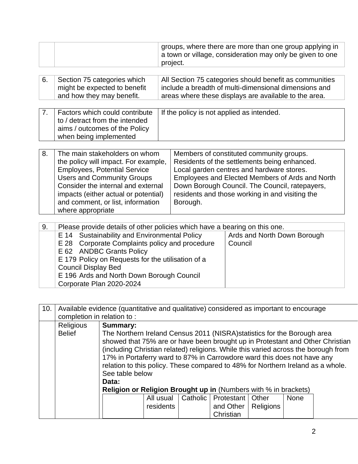|    |                                                                                                                                                                                                                                                                                           | groups, where there are more than one group applying in<br>a town or village, consideration may only be given to one<br>project.                                                                                                                                                                          |
|----|-------------------------------------------------------------------------------------------------------------------------------------------------------------------------------------------------------------------------------------------------------------------------------------------|-----------------------------------------------------------------------------------------------------------------------------------------------------------------------------------------------------------------------------------------------------------------------------------------------------------|
| 6. | Section 75 categories which<br>might be expected to benefit<br>and how they may benefit.                                                                                                                                                                                                  | All Section 75 categories should benefit as communities<br>include a breadth of multi-dimensional dimensions and<br>areas where these displays are available to the area.                                                                                                                                 |
| 7. | Factors which could contribute<br>to / detract from the intended<br>aims / outcomes of the Policy<br>when being implemented                                                                                                                                                               | If the policy is not applied as intended.                                                                                                                                                                                                                                                                 |
| 8. | The main stakeholders on whom<br>the policy will impact. For example,<br><b>Employees, Potential Service</b><br><b>Users and Community Groups</b><br>Consider the internal and external<br>impacts (either actual or potential)<br>and comment, or list, information<br>where appropriate | Members of constituted community groups.<br>Residents of the settlements being enhanced.<br>Local garden centres and hardware stores.<br>Employees and Elected Members of Ards and North<br>Down Borough Council. The Council, ratepayers,<br>residents and those working in and visiting the<br>Borough. |
| 9. | $\mathbf{1}$ , $\mathbf{1}$ , $\mathbf{1}$ , $\mathbf{1}$ , $\mathbf{1}$ , $\mathbf{1}$ , $\mathbf{1}$ , $\mathbf{1}$                                                                                                                                                                     | Please provide details of other policies which have a bearing on this one.                                                                                                                                                                                                                                |

| The ase provide details of other policies which have a beaming on this one. |                             |  |  |  |  |  |  |
|-----------------------------------------------------------------------------|-----------------------------|--|--|--|--|--|--|
| E 14 Sustainability and Environmental Policy                                | Ards and North Down Borough |  |  |  |  |  |  |
| E 28 Corporate Complaints policy and procedure                              | Council                     |  |  |  |  |  |  |
| E 62 ANDBC Grants Policy                                                    |                             |  |  |  |  |  |  |
| E 179 Policy on Requests for the utilisation of a                           |                             |  |  |  |  |  |  |
| <b>Council Display Bed</b>                                                  |                             |  |  |  |  |  |  |
| E 196 Ards and North Down Borough Council                                   |                             |  |  |  |  |  |  |
| Corporate Plan 2020-2024                                                    |                             |  |  |  |  |  |  |
|                                                                             |                             |  |  |  |  |  |  |

| 10. |                                   | Available evidence (quantitative and qualitative) considered as important to encourage                                                                                                                                                                              |           |          |                    |                  |             |  |  |  |  |  |
|-----|-----------------------------------|---------------------------------------------------------------------------------------------------------------------------------------------------------------------------------------------------------------------------------------------------------------------|-----------|----------|--------------------|------------------|-------------|--|--|--|--|--|
|     |                                   | completion in relation to:                                                                                                                                                                                                                                          |           |          |                    |                  |             |  |  |  |  |  |
|     | <b>Religious</b><br><b>Belief</b> | <b>Summary:</b><br>The Northern Ireland Census 2011 (NISRA) statistics for the Borough area<br>showed that 75% are or have been brought up in Protestant and Other Christian                                                                                        |           |          |                    |                  |             |  |  |  |  |  |
|     |                                   | (including Christian related) religions. While this varied across the borough from<br>17% in Portaferry ward to 87% in Carrowdore ward this does not have any<br>relation to this policy. These compared to 48% for Northern Ireland as a whole.<br>See table below |           |          |                    |                  |             |  |  |  |  |  |
|     |                                   | Data:                                                                                                                                                                                                                                                               |           |          |                    |                  |             |  |  |  |  |  |
|     |                                   |                                                                                                                                                                                                                                                                     |           |          |                    |                  |             |  |  |  |  |  |
|     |                                   | <b>Religion or Religion Brought up in (Numbers with % in brackets)</b>                                                                                                                                                                                              |           |          |                    |                  |             |  |  |  |  |  |
|     |                                   |                                                                                                                                                                                                                                                                     | All usual | Catholic | Protestant   Other |                  | <b>None</b> |  |  |  |  |  |
|     |                                   |                                                                                                                                                                                                                                                                     | residents |          | and Other          | <b>Religions</b> |             |  |  |  |  |  |
|     |                                   |                                                                                                                                                                                                                                                                     |           |          | Christian          |                  |             |  |  |  |  |  |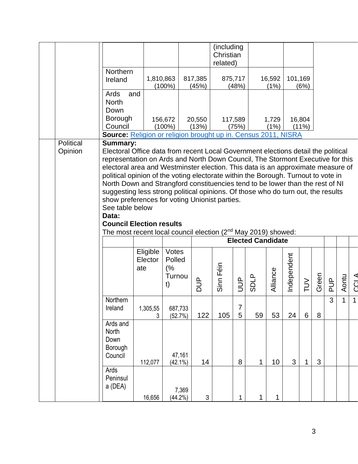|           |                                                                                                                                                                                                                                                                                                                                                                                                                                                                                                                                                                                                                                                                                                               |                            |                                       |                  | (including<br>Christian<br>related) |                  |                                         |                |             |                 |        |               |              |              |
|-----------|---------------------------------------------------------------------------------------------------------------------------------------------------------------------------------------------------------------------------------------------------------------------------------------------------------------------------------------------------------------------------------------------------------------------------------------------------------------------------------------------------------------------------------------------------------------------------------------------------------------------------------------------------------------------------------------------------------------|----------------------------|---------------------------------------|------------------|-------------------------------------|------------------|-----------------------------------------|----------------|-------------|-----------------|--------|---------------|--------------|--------------|
|           | Northern<br>Ireland                                                                                                                                                                                                                                                                                                                                                                                                                                                                                                                                                                                                                                                                                           | 1,810,863                  | $(100\%)$                             | 817,385<br>(45%) |                                     | 875,717<br>(48%) |                                         | 16,592<br>(1%) | 101,169     | (6%)            |        |               |              |              |
|           | Ards<br>and<br><b>North</b><br>Down                                                                                                                                                                                                                                                                                                                                                                                                                                                                                                                                                                                                                                                                           |                            |                                       |                  |                                     |                  |                                         |                |             |                 |        |               |              |              |
|           | Borough<br>Council<br>Source: Religion or religion brought up in. Census 2011, NISRA                                                                                                                                                                                                                                                                                                                                                                                                                                                                                                                                                                                                                          |                            | 156,672<br>$(100\%)$                  | 20,550<br>(13%)  |                                     | 117,589<br>(75%) |                                         | 1,729<br>(1%)  |             | 16,804<br>(11%) |        |               |              |              |
| Political | <b>Summary:</b>                                                                                                                                                                                                                                                                                                                                                                                                                                                                                                                                                                                                                                                                                               |                            |                                       |                  |                                     |                  |                                         |                |             |                 |        |               |              |              |
| Opinion   | Electoral Office data from recent Local Government elections detail the political<br>representation on Ards and North Down Council, The Stormont Executive for this<br>electoral area and Westminster election. This data is an approximate measure of<br>political opinion of the voting electorate within the Borough. Turnout to vote in<br>North Down and Strangford constituencies tend to be lower than the rest of NI<br>suggesting less strong political opinions. Of those who do turn out, the results<br>show preferences for voting Unionist parties.<br>See table below<br>Data:<br><b>Council Election results</b><br>The most recent local council election (2 <sup>nd</sup> May 2019) showed: | Eligible<br>Elector<br>ate | Votes<br>Polled<br>(%<br>Turnou<br>t) | $\frac{1}{2}$    | Sinn Féin                           | $\overline{5}$   | <b>Elected Candidate</b><br><b>SDLP</b> | Alliance       | Independent | $\geq$          | Green  | $\frac{p}{q}$ | Aontu        | CCL A        |
|           | Northern<br>Ireland                                                                                                                                                                                                                                                                                                                                                                                                                                                                                                                                                                                                                                                                                           | 1,305,55                   | 687,733                               |                  |                                     | 7                |                                         |                |             |                 |        | 3             | $\mathbf{1}$ | $\mathbf{1}$ |
|           | Ards and<br>North<br>Down<br>Borough<br>Council                                                                                                                                                                                                                                                                                                                                                                                                                                                                                                                                                                                                                                                               | 3<br>112,077               | (52.7%)<br>47,161<br>$(42.1\%)$       | 122<br>14        | 105                                 | 5<br>$\bf 8$     | 59<br>$\mathbf{1}$                      | 53<br>10       | 24<br>3     | 6<br>1          | 8<br>3 |               |              |              |
|           | Ards<br>Peninsul<br>a (DEA)                                                                                                                                                                                                                                                                                                                                                                                                                                                                                                                                                                                                                                                                                   | 16,656                     | 7,369<br>(44.2%)                      | 3                |                                     | 1                | 1                                       | 1              |             |                 |        |               |              |              |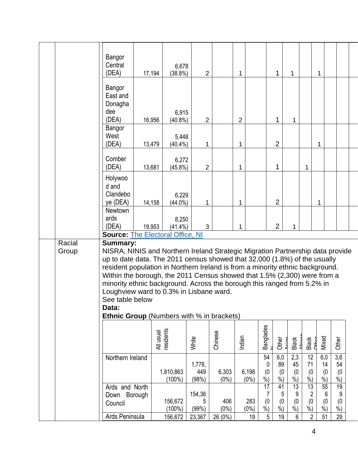|                 | Bangor<br>Central<br>(DEA)                                                                                                                                                                                                                                                                                                                                                                                                                                                                                                                        | 6,678<br>17,194<br>$(38.8\%)$ | $\overline{2}$         |                  | 1                | $\mathbf{1}$              | 1                                                      |                                      | 1                                    |                                        |  |
|-----------------|---------------------------------------------------------------------------------------------------------------------------------------------------------------------------------------------------------------------------------------------------------------------------------------------------------------------------------------------------------------------------------------------------------------------------------------------------------------------------------------------------------------------------------------------------|-------------------------------|------------------------|------------------|------------------|---------------------------|--------------------------------------------------------|--------------------------------------|--------------------------------------|----------------------------------------|--|
|                 | Bangor<br>East and<br>Donagha<br>dee<br>(DEA)                                                                                                                                                                                                                                                                                                                                                                                                                                                                                                     | 6,915<br>16,956<br>$(40.8\%)$ | $\overline{2}$         |                  | $\overline{2}$   | 1                         | 1                                                      |                                      |                                      |                                        |  |
|                 | Bangor<br>West<br>(DEA)                                                                                                                                                                                                                                                                                                                                                                                                                                                                                                                           | 5,448<br>13,479<br>$(40.4\%)$ | $\mathbf{1}$           |                  | 1                | $\overline{2}$            |                                                        |                                      | 1                                    |                                        |  |
|                 | Comber<br>(DEA)                                                                                                                                                                                                                                                                                                                                                                                                                                                                                                                                   | 6,272<br>13,681<br>$(45.8\%)$ | $\overline{2}$         |                  | 1                | $\mathbf{1}$              |                                                        | 1                                    |                                      |                                        |  |
|                 | Holywoo<br>d and<br>Clandebo<br>ye (DEA)                                                                                                                                                                                                                                                                                                                                                                                                                                                                                                          | 6,229<br>14,158<br>$(44.0\%)$ | 1                      |                  | 1                | $\overline{2}$            |                                                        |                                      | 1                                    |                                        |  |
|                 | <b>Newtown</b><br>ards<br>(DEA)<br><b>Source: The Electoral Office, NI</b>                                                                                                                                                                                                                                                                                                                                                                                                                                                                        | 8,250<br>19,953<br>$(41.4\%)$ | 3                      |                  | 1                | $\overline{2}$            | 1                                                      |                                      |                                      |                                        |  |
| Racial<br>Group | <b>Summary:</b><br>NISRA, NINIS and Northern Ireland Strategic Migration Partnership data provide<br>up to date data. The 2011 census showed that 32,000 (1.8%) of the usually<br>resident population in Northern Ireland is from a minority ethnic background.<br>Within the borough, the 2011 Census showed that 1.5% (2,300) were from a<br>minority ethnic background. Across the borough this ranged from 5.2% in<br>Loughview ward to 0.3% in Lisbane ward.<br>See table below<br>Data:<br><b>Ethnic Group</b> (Numbers with % in brackets) |                               |                        |                  |                  |                           |                                                        |                                      |                                      |                                        |  |
|                 |                                                                                                                                                                                                                                                                                                                                                                                                                                                                                                                                                   | All usual<br>residents        | White                  | Chinese          | Indian           | <b>Banglades</b><br>Other | Black                                                  | Black<br>Cthor                       | Mixed                                | Other                                  |  |
|                 | Northern Ireland                                                                                                                                                                                                                                                                                                                                                                                                                                                                                                                                  | 1,810,863<br>$(100\%)$        | 1,778,<br>449<br>(98%) | 6,303<br>$(0\%)$ | 6,198<br>$(0\%)$ | 54<br>0<br>(0)<br>$%$ )   | 2,3<br>6,0<br>89<br>45<br>(0)<br>(0)<br>$%$ )<br>$%$ ) | 12<br>71<br>(0)<br>$%$ )             | 6,0<br>14<br>(0)<br>$%$ )            | $\overline{3,6}$<br>54<br>(0)<br>$%$ ) |  |
|                 | Ards and North<br>Borough<br>Down<br>Council                                                                                                                                                                                                                                                                                                                                                                                                                                                                                                      | 156,672<br>$(100\%)$          | 154,36<br>5<br>(99%)   | 406<br>$(0\%)$   | 283<br>$(0\%)$   | 17<br>7<br>(0)<br>$%$ )   | 13<br>41<br>9<br>5<br>(0)<br>(0)<br>$%$ )<br>$%$ )     | 13<br>$\overline{2}$<br>(0)<br>$%$ ) | 55<br>$6\phantom{1}$<br>(0)<br>$%$ ) | 19<br>9<br>(0)<br>$%$ )                |  |
|                 | Ards Peninsula                                                                                                                                                                                                                                                                                                                                                                                                                                                                                                                                    | 156,672                       | 23,367                 | 26 (0%)          | 19               | $\sqrt{5}$                | 19<br>6                                                | $\overline{2}$                       | 51                                   | 29                                     |  |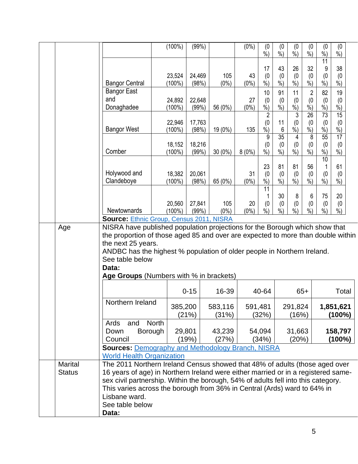|                |                                                                                                                                                                  | (100%)       | $(99\%)$        |           | $(0\%)$  | (0)<br>$\frac{9}{6}$      | (0)<br>$\dot{\%}$    | (0)<br>$\overline{\frac{9}{6}})$ | (0)<br>$\dot{\%}$  | (0<br>$\frac{9}{6}$         | (0)<br>$%$ )           |  |
|----------------|------------------------------------------------------------------------------------------------------------------------------------------------------------------|--------------|-----------------|-----------|----------|---------------------------|----------------------|----------------------------------|--------------------|-----------------------------|------------------------|--|
|                |                                                                                                                                                                  |              |                 |           |          |                           |                      |                                  |                    | 11                          |                        |  |
|                |                                                                                                                                                                  | 23,524       |                 | 105       | 43       | 17                        | 43                   | 26                               | 32                 | 9                           | 38                     |  |
|                | <b>Bangor Central</b>                                                                                                                                            | (100%)       | 24,469<br>(98%) | $(0\%)$   | $(0\%)$  | (0)<br>$%$ )              | (0)<br>$%$ )         | (0)<br>$\frac{9}{6}$             | (0)<br>$\dot{\%})$ | (0)<br>$\frac{9}{6}$        | (0)<br>$%$ )           |  |
|                | <b>Bangor East</b>                                                                                                                                               |              |                 |           |          | 10                        | 91                   | 11                               | $\overline{2}$     | 82                          | 19                     |  |
|                | and                                                                                                                                                              | 24,892       | 22,648          |           | 27       | (0)                       | (0)                  | (0)                              | (0)                | (0)                         | (0)                    |  |
|                | Donaghadee                                                                                                                                                       | (100%)       | (99%)           | 56 (0%)   | $(0\%)$  | $\overline{\frac{9}{6}})$ | $\dot{\%}$           | $\dot{\%})$                      | $\dot{90}$         | $\overline{\frac{9}{6}}$    | $\dot{90}$             |  |
|                |                                                                                                                                                                  | 22,946       | 17,763          |           |          | $\overline{2}$<br>(0      | 11                   | 3<br>(0)                         | 26<br>(0)          | 73<br>(0)                   | $\overline{15}$<br>(0) |  |
|                | <b>Bangor West</b>                                                                                                                                               | $(100\%)$    | (98%)           | 19 (0%)   | 135      | $\frac{9}{6}$             | 6                    | $\frac{\dot{\ }$ $\dot{\ }$      | $\frac{9}{6}$      | $\frac{\dot{\ }$ $\dot{\ }$ | $\frac{9}{6}$          |  |
|                |                                                                                                                                                                  |              |                 |           |          | 9                         | 35                   | 4                                | 8                  | 55                          | 17                     |  |
|                | Comber                                                                                                                                                           | 18,152       | 18,216          |           |          | (0)                       | (0)<br>$\frac{0}{0}$ | (0)<br>$%$ )                     | (0)<br>$%$ )       | (0)                         | (0)                    |  |
|                |                                                                                                                                                                  | $(100\%)$    | (99%)           | $30(0\%)$ | $8(0\%)$ | $%$ )                     |                      |                                  |                    | $%$ )<br>10                 | $%$ )                  |  |
|                |                                                                                                                                                                  |              |                 |           |          | 23                        | 81                   | 81                               | 56                 |                             | 61                     |  |
|                | Holywood and                                                                                                                                                     | 18,382       | 20,061          |           | 31       | (0)                       | (0)                  | (0)                              | (0)                | (0)                         | (0)                    |  |
|                | Clandeboye                                                                                                                                                       | $(100\%)$    | (98%)           | 65 (0%)   | $(0\%)$  | $%$ )<br>11               | $\frac{6}{6}$        | $\frac{6}{6}$                    | $\dot{\%}$         | $\frac{9}{6}$               | $%$ )                  |  |
|                |                                                                                                                                                                  |              |                 |           |          |                           | 30                   | 8                                | 6                  | 75                          | 20                     |  |
|                |                                                                                                                                                                  | 20,560       | 27,841          | 105       | 20       | (0)                       | (0)                  | (0)                              | (0)                | (0)                         | (0)                    |  |
|                | Newtownards<br><b>Source: Ethnic Group, Census 2011, NISRA</b>                                                                                                   | $(100\%)$    | (99%)           | $(0\%)$   | $(0\%)$  | $%$ )                     | $%$ )                | $%$ )                            | $\frac{0}{0}$      | $%$ )                       | $%$ )                  |  |
| Age            | NISRA have published population projections for the Borough which show that                                                                                      |              |                 |           |          |                           |                      |                                  |                    |                             |                        |  |
|                | the proportion of those aged 85 and over are expected to more than double within                                                                                 |              |                 |           |          |                           |                      |                                  |                    |                             |                        |  |
|                | the next 25 years.                                                                                                                                               |              |                 |           |          |                           |                      |                                  |                    |                             |                        |  |
|                | ANDBC has the highest % population of older people in Northern Ireland.                                                                                          |              |                 |           |          |                           |                      |                                  |                    |                             |                        |  |
|                | See table below<br>Data:                                                                                                                                         |              |                 |           |          |                           |                      |                                  |                    |                             |                        |  |
|                | Age Groups (Numbers with % in brackets)                                                                                                                          |              |                 |           |          |                           |                      |                                  |                    |                             |                        |  |
|                |                                                                                                                                                                  |              |                 |           |          |                           |                      |                                  |                    |                             |                        |  |
|                |                                                                                                                                                                  |              | $0 - 15$        | 16-39     |          | 40-64                     |                      |                                  | $65+$              |                             | Total                  |  |
|                | Northern Ireland                                                                                                                                                 |              | 385,200         | 583,116   |          | 591,481                   |                      | 291,824                          |                    |                             | 1,851,621              |  |
|                |                                                                                                                                                                  |              | (21%)           | (31%)     |          | (32%)                     |                      | (16%)                            |                    |                             | $(100\%)$              |  |
|                | Ards<br>and                                                                                                                                                      | <b>North</b> |                 |           |          |                           |                      |                                  |                    |                             |                        |  |
|                | <b>Borough</b><br>Down                                                                                                                                           |              | 29,801          | 43,239    |          | 54,094                    |                      | 31,663                           |                    |                             | 158,797                |  |
|                | Council                                                                                                                                                          |              | (19%)           | (27%)     |          | (34%)                     |                      | (20%)                            |                    |                             | (100%)                 |  |
|                | <b>Sources: Demography and Methodology Branch, NISRA</b><br><b>World Health Organization</b>                                                                     |              |                 |           |          |                           |                      |                                  |                    |                             |                        |  |
| <b>Marital</b> |                                                                                                                                                                  |              |                 |           |          |                           |                      |                                  |                    |                             |                        |  |
| <b>Status</b>  | The 2011 Northern Ireland Census showed that 48% of adults (those aged over<br>16 years of age) in Northern Ireland were either married or in a registered same- |              |                 |           |          |                           |                      |                                  |                    |                             |                        |  |
|                | sex civil partnership. Within the borough, 54% of adults fell into this category.                                                                                |              |                 |           |          |                           |                      |                                  |                    |                             |                        |  |
|                | This varies across the borough from 36% in Central (Ards) ward to 64% in                                                                                         |              |                 |           |          |                           |                      |                                  |                    |                             |                        |  |
|                | Lisbane ward.                                                                                                                                                    |              |                 |           |          |                           |                      |                                  |                    |                             |                        |  |
|                | See table below<br>Data:                                                                                                                                         |              |                 |           |          |                           |                      |                                  |                    |                             |                        |  |
|                |                                                                                                                                                                  |              |                 |           |          |                           |                      |                                  |                    |                             |                        |  |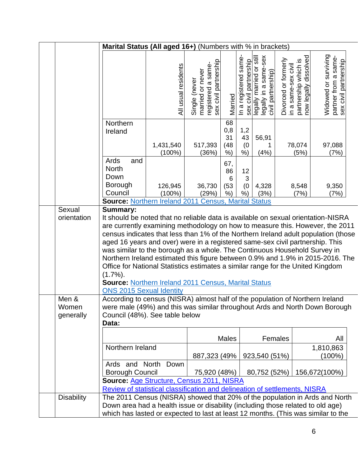|                             |                                                                                                                                                                       | Marital Status (All aged 16+) (Numbers with % in brackets)                                                                                                                                                                                                                                                                                                                                                                                                                                                                                                                                                                                                                                                         |                                                                                  |                                  |                                                |                                                                         |                      |                                                                      |                                                                       |  |
|-----------------------------|-----------------------------------------------------------------------------------------------------------------------------------------------------------------------|--------------------------------------------------------------------------------------------------------------------------------------------------------------------------------------------------------------------------------------------------------------------------------------------------------------------------------------------------------------------------------------------------------------------------------------------------------------------------------------------------------------------------------------------------------------------------------------------------------------------------------------------------------------------------------------------------------------------|----------------------------------------------------------------------------------|----------------------------------|------------------------------------------------|-------------------------------------------------------------------------|----------------------|----------------------------------------------------------------------|-----------------------------------------------------------------------|--|
|                             |                                                                                                                                                                       | All usual residents                                                                                                                                                                                                                                                                                                                                                                                                                                                                                                                                                                                                                                                                                                | sex civil partnership<br>Single (never<br>married or never<br>registered a same- | Married                          | In a registered same-<br>sex civil partnership | legally married or still<br>legally in a same-sex<br>civil partnership) | Divorced or formerly | in a same-sex civil<br>partnership which is<br>now legally dissolved | Widowed or surviving<br>partner from a same-<br>sex civil partnership |  |
|                             | Northern<br>Ireland                                                                                                                                                   | 1,431,540<br>$(100\%)$                                                                                                                                                                                                                                                                                                                                                                                                                                                                                                                                                                                                                                                                                             | 517,393<br>(36%)                                                                 | 68<br>0,8<br>31<br>(48)<br>$%$ ) | 1,2<br>43<br>(0)<br>%                          | 56,91<br>1<br>(4%)                                                      |                      | 78,074<br>(5%)                                                       | 97,088<br>(7%)                                                        |  |
|                             | Ards<br>and<br><b>North</b><br>Down<br><b>Borough</b><br>Council                                                                                                      | 126,945<br>$(100\%)$                                                                                                                                                                                                                                                                                                                                                                                                                                                                                                                                                                                                                                                                                               | 36,730<br>(29%)                                                                  | 67,<br>86<br>6<br>(53)<br>$%$ )  | 12<br>3<br>(0)<br>$%$ )                        | 4,328<br>(3%)                                                           |                      | 8,548<br>(7%)                                                        | 9,350<br>(7%)                                                         |  |
| Sexual<br>orientation       | Summary:<br>$(1.7\%)$ .<br><b>ONS 2015 Sexual Identity</b>                                                                                                            | Source: Northern Ireland 2011 Census, Marital Status<br>It should be noted that no reliable data is available on sexual orientation-NISRA<br>are currently examining methodology on how to measure this. However, the 2011<br>census indicates that less than 1% of the Northern Ireland adult population (those<br>aged 16 years and over) were in a registered same-sex civil partnership. This<br>was similar to the borough as a whole. The Continuous Household Survey in<br>Northern Ireland estimated this figure between 0.9% and 1.9% in 2015-2016. The<br>Office for National Statistics estimates a similar range for the United Kingdom<br><b>Source: Northern Ireland 2011 Census, Marital Status</b> |                                                                                  |                                  |                                                |                                                                         |                      |                                                                      |                                                                       |  |
| Men &<br>Women<br>generally | According to census (NISRA) almost half of the population of Northern Ireland<br>were male (49%) and this was similar throughout Ards and North Down Borough<br>Data: | Council (48%). See table below                                                                                                                                                                                                                                                                                                                                                                                                                                                                                                                                                                                                                                                                                     |                                                                                  |                                  |                                                |                                                                         |                      |                                                                      |                                                                       |  |
|                             | Northern Ireland                                                                                                                                                      |                                                                                                                                                                                                                                                                                                                                                                                                                                                                                                                                                                                                                                                                                                                    | 887,323 (49%)                                                                    | Males                            |                                                | 923,540 (51%)                                                           | Females              |                                                                      | All<br>1,810,863<br>(100%)                                            |  |
|                             | Ards and North<br><b>Borough Council</b>                                                                                                                              | Down<br>Source: Age Structure, Census 2011, NISRA                                                                                                                                                                                                                                                                                                                                                                                                                                                                                                                                                                                                                                                                  | 75,920 (48%)                                                                     |                                  |                                                | 80,752 (52%)                                                            |                      |                                                                      | 156,672(100%)                                                         |  |
| <b>Disability</b>           |                                                                                                                                                                       | Review of statistical classification and delineation of settlements, NISRA<br>The 2011 Census (NISRA) showed that 20% of the population in Ards and North<br>Down area had a health issue or disability (including those related to old age)<br>which has lasted or expected to last at least 12 months. (This was similar to the                                                                                                                                                                                                                                                                                                                                                                                  |                                                                                  |                                  |                                                |                                                                         |                      |                                                                      |                                                                       |  |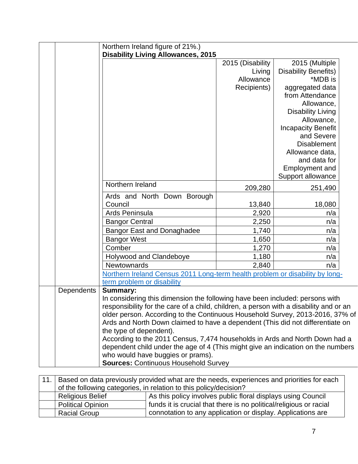|            | Northern Ireland figure of 21%.)                                                                       |                  |                             |  |
|------------|--------------------------------------------------------------------------------------------------------|------------------|-----------------------------|--|
|            | <b>Disability Living Allowances, 2015</b>                                                              |                  |                             |  |
|            |                                                                                                        | 2015 (Disability | 2015 (Multiple              |  |
|            |                                                                                                        | Living           | <b>Disability Benefits)</b> |  |
|            |                                                                                                        | Allowance        | *MDB is                     |  |
|            |                                                                                                        | Recipients)      | aggregated data             |  |
|            |                                                                                                        |                  | from Attendance             |  |
|            |                                                                                                        |                  | Allowance,                  |  |
|            |                                                                                                        |                  | <b>Disability Living</b>    |  |
|            |                                                                                                        |                  | Allowance,                  |  |
|            |                                                                                                        |                  | <b>Incapacity Benefit</b>   |  |
|            |                                                                                                        |                  | and Severe                  |  |
|            |                                                                                                        |                  | <b>Disablement</b>          |  |
|            |                                                                                                        |                  | Allowance data,             |  |
|            |                                                                                                        |                  | and data for                |  |
|            |                                                                                                        |                  | <b>Employment and</b>       |  |
|            |                                                                                                        |                  | Support allowance           |  |
|            | Northern Ireland                                                                                       | 209,280          | 251,490                     |  |
|            | Ards and North Down Borough                                                                            |                  |                             |  |
|            | Council                                                                                                | 13,840           | 18,080                      |  |
|            | Ards Peninsula                                                                                         | 2,920            | n/a                         |  |
|            | <b>Bangor Central</b>                                                                                  | 2,250            | n/a                         |  |
|            | <b>Bangor East and Donaghadee</b>                                                                      | 1,740            | n/a                         |  |
|            | <b>Bangor West</b>                                                                                     | 1,650            | n/a                         |  |
|            | Comber                                                                                                 | 1,270            | n/a                         |  |
|            | Holywood and Clandeboye                                                                                | 1,180            | n/a                         |  |
|            | Newtownards                                                                                            | 2,840            | n/a                         |  |
|            | Northern Ireland Census 2011 Long-term health problem or disability by long-                           |                  |                             |  |
|            | term problem or disability                                                                             |                  |                             |  |
| Dependents | <b>Summary:</b>                                                                                        |                  |                             |  |
|            | In considering this dimension the following have been included: persons with                           |                  |                             |  |
|            | responsibility for the care of a child, children, a person with a disability and or an                 |                  |                             |  |
|            | older person. According to the Continuous Household Survey, 2013-2016, 37% of                          |                  |                             |  |
|            | Ards and North Down claimed to have a dependent (This did not differentiate on                         |                  |                             |  |
|            | the type of dependent).<br>According to the 2011 Census, 7,474 households in Ards and North Down had a |                  |                             |  |
|            | dependent child under the age of 4 (This might give an indication on the numbers                       |                  |                             |  |
|            | who would have buggies or prams).                                                                      |                  |                             |  |
|            | <b>Sources: Continuous Household Survey</b>                                                            |                  |                             |  |
|            |                                                                                                        |                  |                             |  |

| 11. |                                                                   | Based on data previously provided what are the needs, experiences and priorities for each |
|-----|-------------------------------------------------------------------|-------------------------------------------------------------------------------------------|
|     | of the following categories, in relation to this policy/decision? |                                                                                           |
|     | <b>Religious Belief</b>                                           | As this policy involves public floral displays using Council                              |
|     | <b>Political Opinion</b>                                          | funds it is crucial that there is no political/religious or racial                        |
|     | <b>Racial Group</b>                                               | connotation to any application or display. Applications are                               |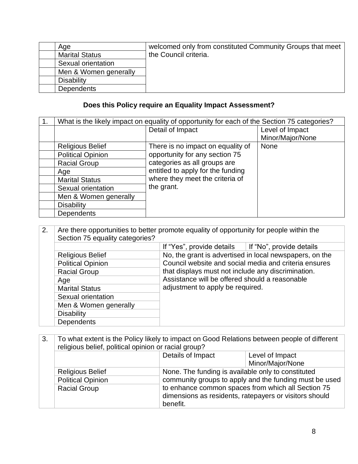| Age                   | welcomed only from constituted Community Groups that meet |
|-----------------------|-----------------------------------------------------------|
| <b>Marital Status</b> | the Council criteria.                                     |
| Sexual orientation    |                                                           |
| Men & Women generally |                                                           |
| Disability            |                                                           |
| <b>Dependents</b>     |                                                           |

## **Does this Policy require an Equality Impact Assessment?**

| 1. | What is the likely impact on equality of opportunity for each of the Section 75 categories? |                                   |                  |
|----|---------------------------------------------------------------------------------------------|-----------------------------------|------------------|
|    |                                                                                             | Detail of Impact                  | Level of Impact  |
|    |                                                                                             |                                   | Minor/Major/None |
|    | <b>Religious Belief</b>                                                                     | There is no impact on equality of | None             |
|    | <b>Political Opinion</b>                                                                    | opportunity for any section 75    |                  |
|    | <b>Racial Group</b>                                                                         | categories as all groups are      |                  |
|    | Age                                                                                         | entitled to apply for the funding |                  |
|    | <b>Marital Status</b>                                                                       | where they meet the criteria of   |                  |
|    | Sexual orientation                                                                          | the grant.                        |                  |
|    | Men & Women generally                                                                       |                                   |                  |
|    | <b>Disability</b>                                                                           |                                   |                  |
|    | Dependents                                                                                  |                                   |                  |

| 2. | Are there opportunities to better promote equality of opportunity for people within the<br>Section 75 equality categories? |                                                                                                                                          |  |
|----|----------------------------------------------------------------------------------------------------------------------------|------------------------------------------------------------------------------------------------------------------------------------------|--|
|    |                                                                                                                            | If "No", provide details<br>If "Yes", provide details                                                                                    |  |
|    | <b>Religious Belief</b>                                                                                                    | No, the grant is advertised in local newspapers, on the                                                                                  |  |
|    | <b>Political Opinion</b>                                                                                                   | Council website and social media and criteria ensures                                                                                    |  |
|    | <b>Racial Group</b>                                                                                                        | that displays must not include any discrimination.<br>Assistance will be offered should a reasonable<br>adjustment to apply be required. |  |
|    | Age                                                                                                                        |                                                                                                                                          |  |
|    | <b>Marital Status</b>                                                                                                      |                                                                                                                                          |  |
|    | Sexual orientation                                                                                                         |                                                                                                                                          |  |
|    | Men & Women generally                                                                                                      |                                                                                                                                          |  |
|    | <b>Disability</b>                                                                                                          |                                                                                                                                          |  |
|    | <b>Dependents</b>                                                                                                          |                                                                                                                                          |  |

| 3. | To what extent is the Policy likely to impact on Good Relations between people of different<br>religious belief, political opinion or racial group? |                                                    |                                                                                                              |
|----|-----------------------------------------------------------------------------------------------------------------------------------------------------|----------------------------------------------------|--------------------------------------------------------------------------------------------------------------|
|    |                                                                                                                                                     | Details of Impact                                  | Level of Impact                                                                                              |
|    |                                                                                                                                                     |                                                    | Minor/Major/None                                                                                             |
|    | <b>Religious Belief</b>                                                                                                                             | None. The funding is available only to constituted |                                                                                                              |
|    | <b>Political Opinion</b>                                                                                                                            |                                                    | community groups to apply and the funding must be used                                                       |
|    | <b>Racial Group</b>                                                                                                                                 | benefit.                                           | to enhance common spaces from which all Section 75<br>dimensions as residents, ratepayers or visitors should |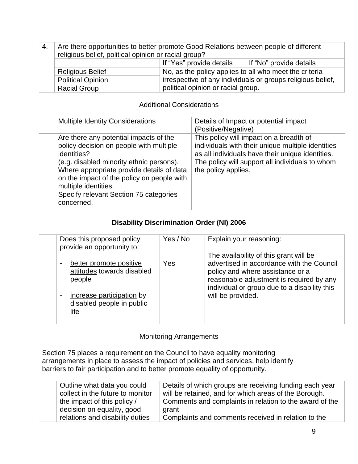| 4. | Are there opportunities to better promote Good Relations between people of different<br>religious belief, political opinion or racial group? |                                                        |                                                             |
|----|----------------------------------------------------------------------------------------------------------------------------------------------|--------------------------------------------------------|-------------------------------------------------------------|
|    |                                                                                                                                              | If "Yes" provide details                               | │ If "No" provide details                                   |
|    | <b>Religious Belief</b>                                                                                                                      | No, as the policy applies to all who meet the criteria |                                                             |
|    | <b>Political Opinion</b>                                                                                                                     |                                                        | irrespective of any individuals or groups religious belief, |
|    | <b>Racial Group</b>                                                                                                                          | political opinion or racial group.                     |                                                             |

### Additional Considerations

| <b>Multiple Identity Considerations</b>                                                                                                                                                                                                                                                                                 | Details of Impact or potential impact<br>(Positive/Negative)                                                                                                                                                               |
|-------------------------------------------------------------------------------------------------------------------------------------------------------------------------------------------------------------------------------------------------------------------------------------------------------------------------|----------------------------------------------------------------------------------------------------------------------------------------------------------------------------------------------------------------------------|
| Are there any potential impacts of the<br>policy decision on people with multiple<br>identities?<br>(e.g. disabled minority ethnic persons).<br>Where appropriate provide details of data<br>on the impact of the policy on people with<br>multiple identities.<br>Specify relevant Section 75 categories<br>concerned. | This policy will impact on a breadth of<br>individuals with their unique multiple identities<br>as all individuals have their unique identities.<br>The policy will support all individuals to whom<br>the policy applies. |

#### **Disability Discrimination Order (NI) 2006**

| Does this proposed policy<br>provide an opportunity to:                                                                                             | Yes / No | Explain your reasoning:                                                                                                                                                                                                                  |
|-----------------------------------------------------------------------------------------------------------------------------------------------------|----------|------------------------------------------------------------------------------------------------------------------------------------------------------------------------------------------------------------------------------------------|
| better promote positive<br>attitudes towards disabled<br>people<br>increase participation by<br>$\blacksquare$<br>disabled people in public<br>life | Yes      | The availability of this grant will be<br>advertised in accordance with the Council<br>policy and where assistance or a<br>reasonable adjustment is required by any<br>individual or group due to a disability this<br>will be provided. |

#### Monitoring Arrangements

Section 75 places a requirement on the Council to have equality monitoring arrangements in place to assess the impact of policies and services, help identify barriers to fair participation and to better promote equality of opportunity.

| Outline what data you could      | Details of which groups are receiving funding each year |
|----------------------------------|---------------------------------------------------------|
| collect in the future to monitor | will be retained, and for which areas of the Borough.   |
| the impact of this policy /      | Comments and complaints in relation to the award of the |
| decision on equality, good       | grant                                                   |
| relations and disability duties  | Complaints and comments received in relation to the     |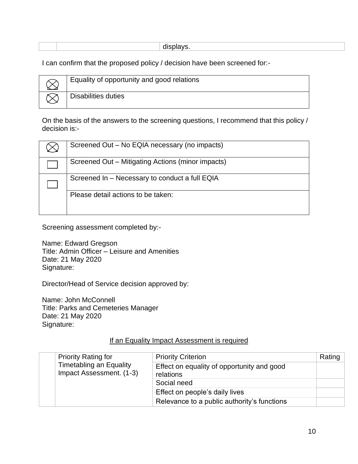|  | $-$ |
|--|-----|
|  |     |

I can confirm that the proposed policy / decision have been screened for:-

| Equality of opportunity and good relations |
|--------------------------------------------|
| Disabilities duties                        |

On the basis of the answers to the screening questions, I recommend that this policy / decision is:-

| Screened Out – No EQIA necessary (no impacts)     |
|---------------------------------------------------|
| Screened Out – Mitigating Actions (minor impacts) |
| Screened In - Necessary to conduct a full EQIA    |
| Please detail actions to be taken:                |

Screening assessment completed by:-

Name: Edward Gregson Title: Admin Officer – Leisure and Amenities Date: 21 May 2020 Signature:

Director/Head of Service decision approved by:

Name: John McConnell Title: Parks and Cemeteries Manager Date: 21 May 2020 Signature:

#### If an Equality Impact Assessment is required

|  | <b>Priority Rating for</b><br><b>Timetabling an Equality</b><br>Impact Assessment. (1-3) | <b>Priority Criterion</b>                               | Rating |
|--|------------------------------------------------------------------------------------------|---------------------------------------------------------|--------|
|  |                                                                                          | Effect on equality of opportunity and good<br>relations |        |
|  |                                                                                          | Social need                                             |        |
|  |                                                                                          | Effect on people's daily lives                          |        |
|  |                                                                                          | Relevance to a public authority's functions             |        |